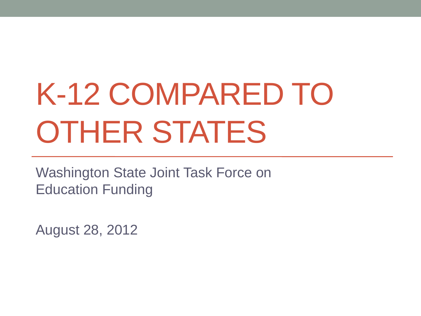# K-12 COMPARED TO OTHER STATES

Washington State Joint Task Force on Education Funding

August 28, 2012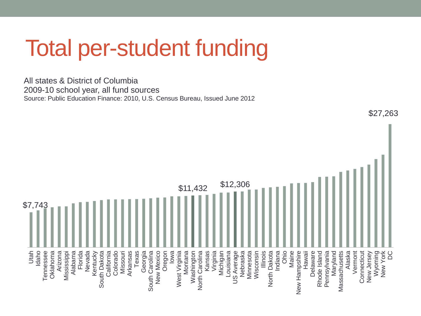# Total per-student funding

All states & District of Columbia 2009-10 school year, all fund sources Source: Public Education Finance: 2010, U.S. Census Bureau, Issued June 2012



\$27,263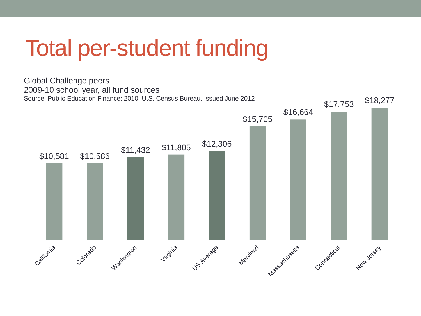# Total per-student funding

Global Challenge peers 2009-10 school year, all fund sources Source: Public Education Finance: 2010, U.S. Census Bureau, Issued June 2012 \$17,753 \$18,277 \$16,664 \$15,705  $$10,581$   $$10,586$   $$11,432$   $$11,805$   $$12,306$ Massachusetts Connecticut Washington US Average MacVard New Jersey Virginia California Colorado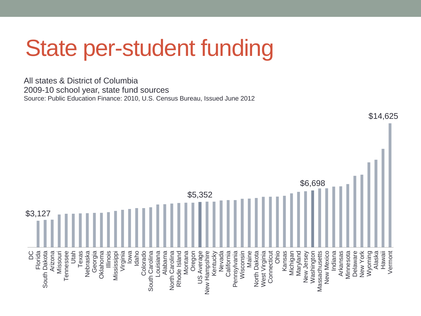### State per-student funding

All states & District of Columbia 2009-10 school year, state fund sources Source: Public Education Finance: 2010, U.S. Census Bureau, Issued June 2012



\$14,625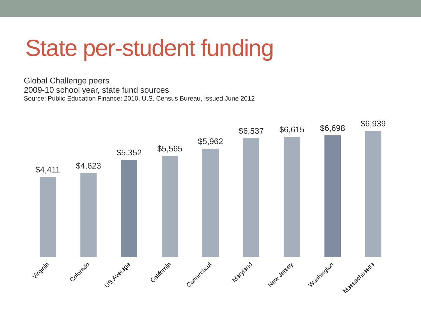# State per-student funding

Global Challenge peers 2009-10 school year, state fund sources Source: Public Education Finance: 2010, U.S. Census Bureau, Issued June 2012

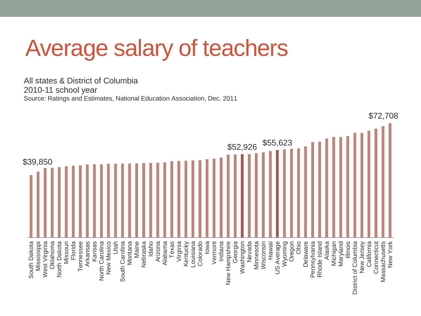# Average salary of teachers

All states & District of Columbia 2010-11 school year Source: Ratings and Estimates, National Education Association, Dec. 2011

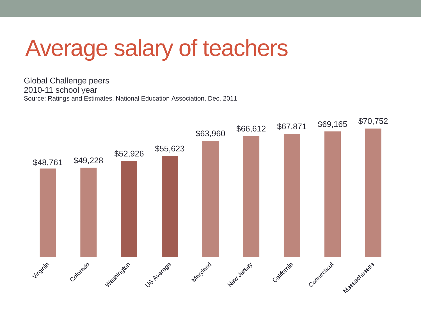### Average salary of teachers

Global Challenge peers 2010-11 school year Source: Ratings and Estimates, National Education Association, Dec. 2011